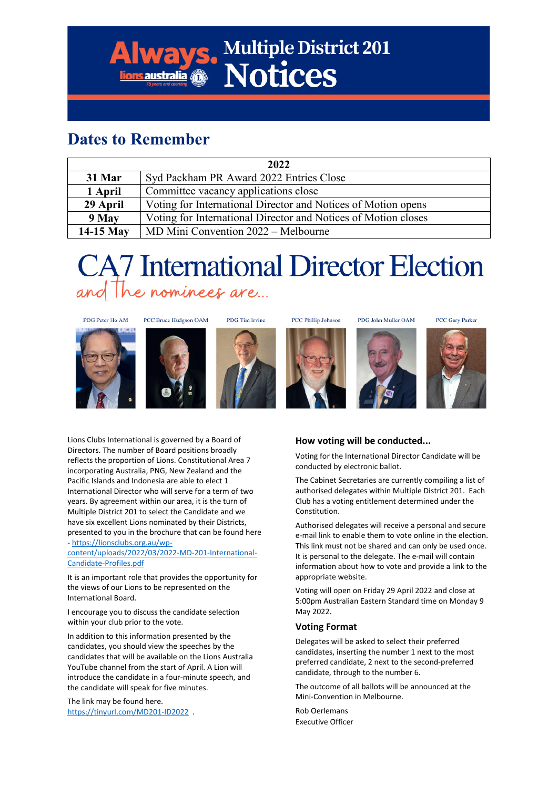### **Dates to Remember**

| 2022      |                                                                |  |  |  |  |
|-----------|----------------------------------------------------------------|--|--|--|--|
| 31 Mar    | Syd Packham PR Award 2022 Entries Close                        |  |  |  |  |
| 1 April   | Committee vacancy applications close                           |  |  |  |  |
| 29 April  | Voting for International Director and Notices of Motion opens  |  |  |  |  |
| 9 May     | Voting for International Director and Notices of Motion closes |  |  |  |  |
| 14-15 May | MD Mini Convention 2022 – Melbourne                            |  |  |  |  |

**Iways. Multiple District 201** 

## **CA7** International Director Election and The nominees are...







**PCC Phillip Johnson** 

PDG John Muller OAM

PCC Gary Parker



Lions Clubs International is governed by a Board of Directors. The number of Board positions broadly reflects the proportion of Lions. Constitutional Area 7 incorporating Australia, PNG, New Zealand and the Pacific Islands and Indonesia are able to elect 1 International Director who will serve for a term of two years. By agreement within our area, it is the turn of Multiple District 201 to select the Candidate and we have six excellent Lions nominated by their Districts, presented to you in the brochure that can be found here

- [https://lionsclubs.org.au/wp](https://lionsclubs.org.au/wp-content/uploads/2022/03/2022-MD-201-International-Candidate-Profiles.pdf)[content/uploads/2022/03/2022-MD-201-International-](https://lionsclubs.org.au/wp-content/uploads/2022/03/2022-MD-201-International-Candidate-Profiles.pdf)[Candidate-Profiles.pdf](https://lionsclubs.org.au/wp-content/uploads/2022/03/2022-MD-201-International-Candidate-Profiles.pdf)

It is an important role that provides the opportunity for the views of our Lions to be represented on the International Board.

I encourage you to discuss the candidate selection within your club prior to the vote.

In addition to this information presented by the candidates, you should view the speeches by the candidates that will be available on the Lions Australia YouTube channel from the start of April. A Lion will introduce the candidate in a four-minute speech, and the candidate will speak for five minutes.

The link may be found here. <https://tinyurl.com/MD201-ID2022>.

#### **How voting will be conducted...**

Voting for the International Director Candidate will be conducted by electronic ballot.

The Cabinet Secretaries are currently compiling a list of authorised delegates within Multiple District 201. Each Club has a voting entitlement determined under the Constitution.

Authorised delegates will receive a personal and secure e-mail link to enable them to vote online in the election. This link must not be shared and can only be used once. It is personal to the delegate. The e-mail will contain information about how to vote and provide a link to the appropriate website.

Voting will open on Friday 29 April 2022 and close at 5:00pm Australian Eastern Standard time on Monday 9 May 2022.

#### **Voting Format**

Delegates will be asked to select their preferred candidates, inserting the number 1 next to the most preferred candidate, 2 next to the second-preferred candidate, through to the number 6.

The outcome of all ballots will be announced at the Mini-Convention in Melbourne.

Rob Oerlemans Executive Officer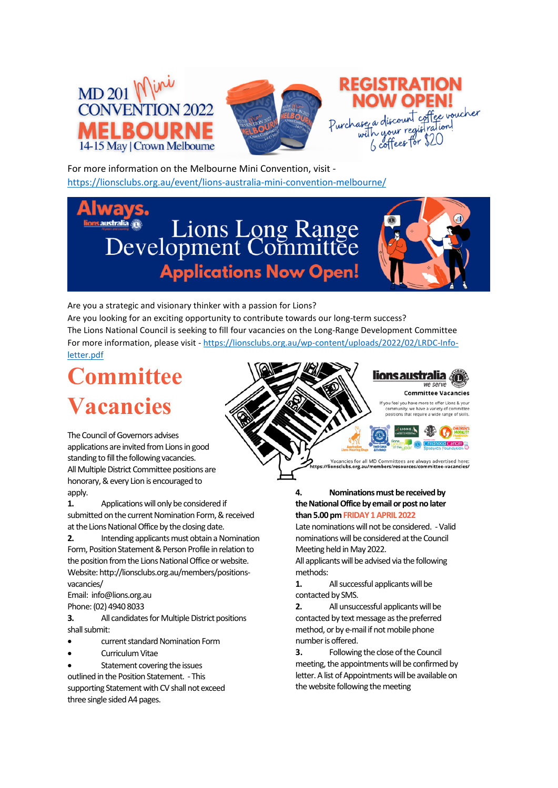





For more information on the Melbourne Mini Convention, visit <https://lionsclubs.org.au/event/lions-australia-mini-convention-melbourne/>

# **Extralia OF** Lions Long Range<br>Development Committee **Applications Now Open!**



Are you a strategic and visionary thinker with a passion for Lions? Are you looking for an exciting opportunity to contribute towards our long-term success? The Lions National Council is seeking to fill four vacancies on the Long-Range Development Committee For more information, please visit - [https://lionsclubs.org.au/wp-content/uploads/2022/02/LRDC-Info](https://lionsclubs.org.au/wp-content/uploads/2022/02/LRDC-Info-letter.pdf)[letter.pdf](https://lionsclubs.org.au/wp-content/uploads/2022/02/LRDC-Info-letter.pdf) 

## **Committee Vacancies**



Vacancies for all MD Committees are always advertised here<br>ionsclubs.org.au/members/resources/committee-vacancies.

The Council of Governors advises applications are invited from Lions in good standing to fill the following vacancies. All Multiple District Committee positions are honorary, & every Lion is encouraged to apply.

**1.** Applications will only be considered if submitted on the current Nomination Form, & received at the Lions National Office by the closing date.

**2.** Intending applicants must obtain a Nomination Form, Position Statement & Person Profile in relation to the position from the Lions National Office or website. Website: http://lionsclubs.org.au/members/positionsvacancies/

Email: info@lions.org.au

Phone: (02) 4940 8033

**3.** All candidates for Multiple District positions shall submit:

- current standard Nomination Form
- Curriculum Vitae

Statement covering the issues outlined in the Position Statement. - This supporting Statement with CV shall not exceed three single sided A4 pages.

#### **4. Nominations must be received by the National Office by email or post no later than 5.00 pm FRIDAY 1 APRIL 2022**

Late nominations will not be considered. - Valid nominations will be considered at the Council Meeting held in May 2022.

All applicants will be advised via the following methods:

**1.** All successful applicants will be contacted by SMS.

**2.** All unsuccessful applicants will be contacted by text message as the preferred method, or by e-mail if not mobile phone number is offered.

**3.** Following the close of the Council meeting, the appointments will be confirmed by letter. A list of Appointments will be available on the website following the meeting